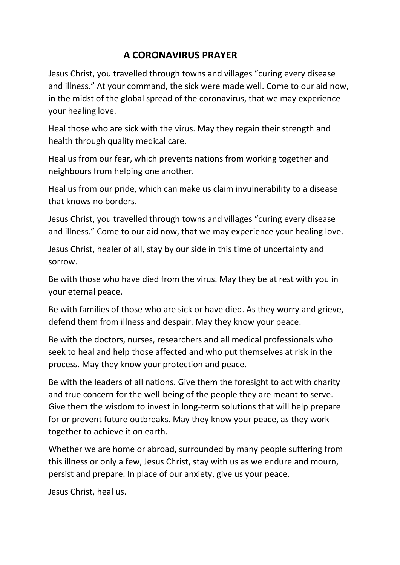## **A CORONAVIRUS PRAYER**

Jesus Christ, you travelled through towns and villages "curing every disease and illness." At your command, the sick were made well. Come to our aid now, in the midst of the global spread of the coronavirus, that we may experience your healing love.

Heal those who are sick with the virus. May they regain their strength and health through quality medical care.

Heal us from our fear, which prevents nations from working together and neighbours from helping one another.

Heal us from our pride, which can make us claim invulnerability to a disease that knows no borders.

Jesus Christ, you travelled through towns and villages "curing every disease and illness." Come to our aid now, that we may experience your healing love.

Jesus Christ, healer of all, stay by our side in this time of uncertainty and sorrow.

Be with those who have died from the virus. May they be at rest with you in your eternal peace.

Be with families of those who are sick or have died. As they worry and grieve, defend them from illness and despair. May they know your peace.

Be with the doctors, nurses, researchers and all medical professionals who seek to heal and help those affected and who put themselves at risk in the process. May they know your protection and peace.

Be with the leaders of all nations. Give them the foresight to act with charity and true concern for the well-being of the people they are meant to serve. Give them the wisdom to invest in long-term solutions that will help prepare for or prevent future outbreaks. May they know your peace, as they work together to achieve it on earth.

Whether we are home or abroad, surrounded by many people suffering from this illness or only a few, Jesus Christ, stay with us as we endure and mourn, persist and prepare. In place of our anxiety, give us your peace.

Jesus Christ, heal us.